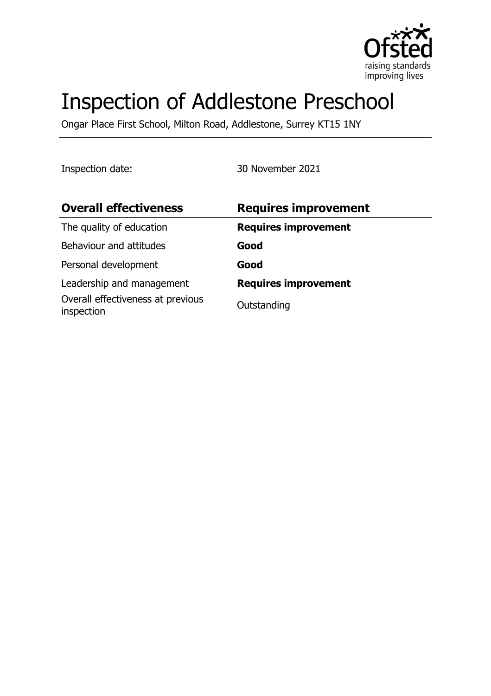

# Inspection of Addlestone Preschool

Ongar Place First School, Milton Road, Addlestone, Surrey KT15 1NY

Inspection date: 30 November 2021

| <b>Overall effectiveness</b>                    | <b>Requires improvement</b> |
|-------------------------------------------------|-----------------------------|
| The quality of education                        | <b>Requires improvement</b> |
| Behaviour and attitudes                         | Good                        |
| Personal development                            | Good                        |
| Leadership and management                       | <b>Requires improvement</b> |
| Overall effectiveness at previous<br>inspection | Outstanding                 |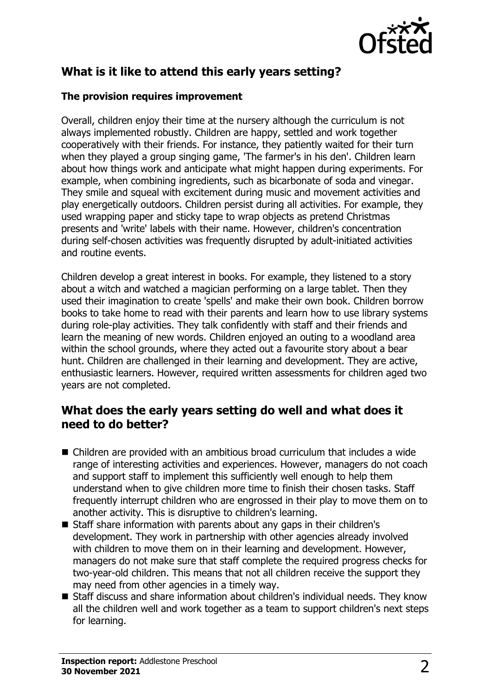

# **What is it like to attend this early years setting?**

#### **The provision requires improvement**

Overall, children enjoy their time at the nursery although the curriculum is not always implemented robustly. Children are happy, settled and work together cooperatively with their friends. For instance, they patiently waited for their turn when they played a group singing game, 'The farmer's in his den'. Children learn about how things work and anticipate what might happen during experiments. For example, when combining ingredients, such as bicarbonate of soda and vinegar. They smile and squeal with excitement during music and movement activities and play energetically outdoors. Children persist during all activities. For example, they used wrapping paper and sticky tape to wrap objects as pretend Christmas presents and 'write' labels with their name. However, children's concentration during self-chosen activities was frequently disrupted by adult-initiated activities and routine events.

Children develop a great interest in books. For example, they listened to a story about a witch and watched a magician performing on a large tablet. Then they used their imagination to create 'spells' and make their own book. Children borrow books to take home to read with their parents and learn how to use library systems during role-play activities. They talk confidently with staff and their friends and learn the meaning of new words. Children enjoyed an outing to a woodland area within the school grounds, where they acted out a favourite story about a bear hunt. Children are challenged in their learning and development. They are active, enthusiastic learners. However, required written assessments for children aged two years are not completed.

## **What does the early years setting do well and what does it need to do better?**

- $\blacksquare$  Children are provided with an ambitious broad curriculum that includes a wide range of interesting activities and experiences. However, managers do not coach and support staff to implement this sufficiently well enough to help them understand when to give children more time to finish their chosen tasks. Staff frequently interrupt children who are engrossed in their play to move them on to another activity. This is disruptive to children's learning.
- Staff share information with parents about any gaps in their children's development. They work in partnership with other agencies already involved with children to move them on in their learning and development. However, managers do not make sure that staff complete the required progress checks for two-year-old children. This means that not all children receive the support they may need from other agencies in a timely way.
- Staff discuss and share information about children's individual needs. They know all the children well and work together as a team to support children's next steps for learning.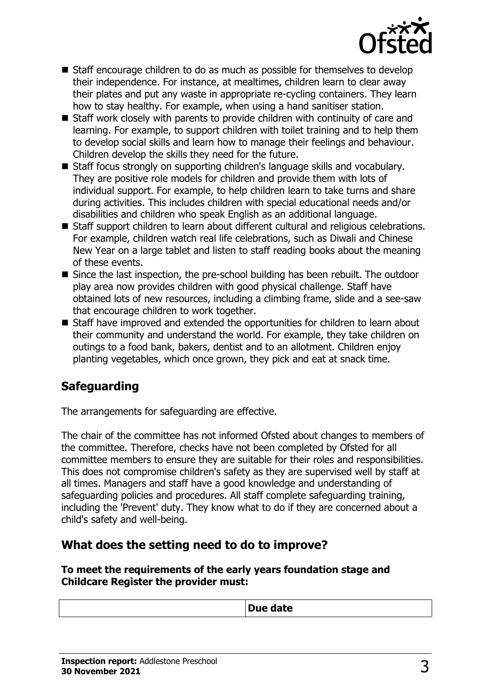

- $\blacksquare$  Staff encourage children to do as much as possible for themselves to develop their independence. For instance, at mealtimes, children learn to clear away their plates and put any waste in appropriate re-cycling containers. They learn how to stay healthy. For example, when using a hand sanitiser station.
- $\blacksquare$  Staff work closely with parents to provide children with continuity of care and learning. For example, to support children with toilet training and to help them to develop social skills and learn how to manage their feelings and behaviour. Children develop the skills they need for the future.
- Staff focus strongly on supporting children's language skills and vocabulary. They are positive role models for children and provide them with lots of individual support. For example, to help children learn to take turns and share during activities. This includes children with special educational needs and/or disabilities and children who speak English as an additional language.
- Staff support children to learn about different cultural and religious celebrations. For example, children watch real life celebrations, such as Diwali and Chinese New Year on a large tablet and listen to staff reading books about the meaning of these events.
- $\blacksquare$  Since the last inspection, the pre-school building has been rebuilt. The outdoor play area now provides children with good physical challenge. Staff have obtained lots of new resources, including a climbing frame, slide and a see-saw that encourage children to work together.
- Staff have improved and extended the opportunities for children to learn about their community and understand the world. For example, they take children on outings to a food bank, bakers, dentist and to an allotment. Children enjoy planting vegetables, which once grown, they pick and eat at snack time.

# **Safeguarding**

The arrangements for safeguarding are effective.

The chair of the committee has not informed Ofsted about changes to members of the committee. Therefore, checks have not been completed by Ofsted for all committee members to ensure they are suitable for their roles and responsibilities. This does not compromise children's safety as they are supervised well by staff at all times. Managers and staff have a good knowledge and understanding of safeguarding policies and procedures. All staff complete safeguarding training, including the 'Prevent' duty. They know what to do if they are concerned about a child's safety and well-being.

## **What does the setting need to do to improve?**

#### **To meet the requirements of the early years foundation stage and Childcare Register the provider must:**

| . |
|---|
|---|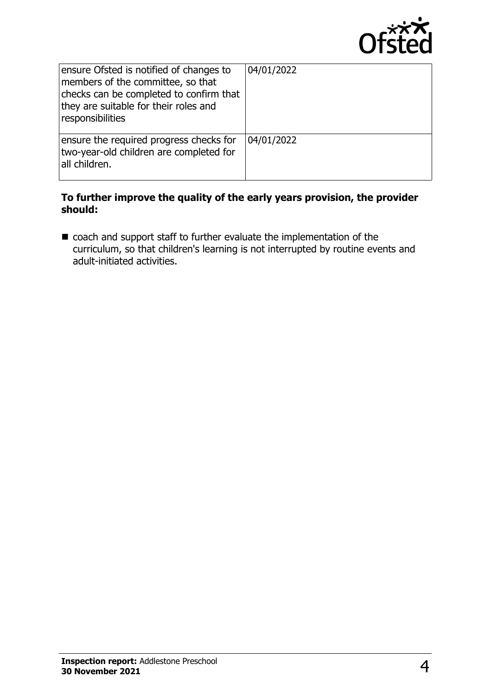

| ensure Ofsted is notified of changes to<br>members of the committee, so that<br>checks can be completed to confirm that<br>they are suitable for their roles and<br>responsibilities | 04/01/2022 |
|--------------------------------------------------------------------------------------------------------------------------------------------------------------------------------------|------------|
| ensure the required progress checks for<br>two-year-old children are completed for<br>all children.                                                                                  | 04/01/2022 |

#### **To further improve the quality of the early years provision, the provider should:**

 $\blacksquare$  coach and support staff to further evaluate the implementation of the curriculum, so that children's learning is not interrupted by routine events and adult-initiated activities.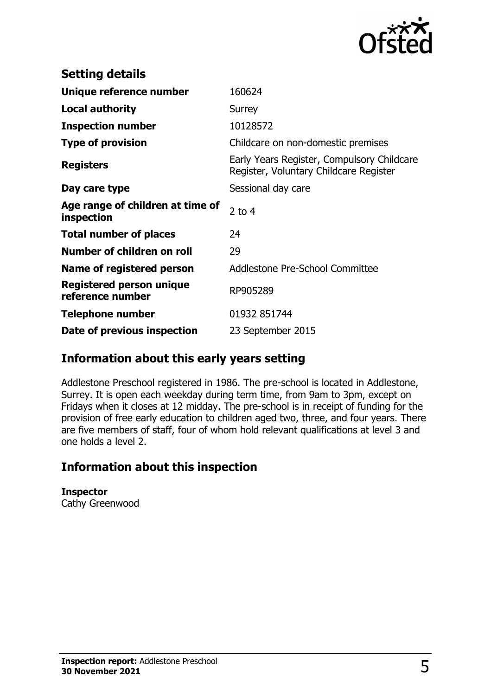

| <b>Setting details</b>                              |                                                                                      |
|-----------------------------------------------------|--------------------------------------------------------------------------------------|
| Unique reference number                             | 160624                                                                               |
| <b>Local authority</b>                              | Surrey                                                                               |
| <b>Inspection number</b>                            | 10128572                                                                             |
| <b>Type of provision</b>                            | Childcare on non-domestic premises                                                   |
| <b>Registers</b>                                    | Early Years Register, Compulsory Childcare<br>Register, Voluntary Childcare Register |
| Day care type                                       | Sessional day care                                                                   |
| Age range of children at time of<br>inspection      | $2$ to 4                                                                             |
| <b>Total number of places</b>                       | 24                                                                                   |
| Number of children on roll                          | 29                                                                                   |
| Name of registered person                           | Addlestone Pre-School Committee                                                      |
| <b>Registered person unique</b><br>reference number | RP905289                                                                             |
| <b>Telephone number</b>                             | 01932 851744                                                                         |
| Date of previous inspection                         | 23 September 2015                                                                    |

## **Information about this early years setting**

Addlestone Preschool registered in 1986. The pre-school is located in Addlestone, Surrey. It is open each weekday during term time, from 9am to 3pm, except on Fridays when it closes at 12 midday. The pre-school is in receipt of funding for the provision of free early education to children aged two, three, and four years. There are five members of staff, four of whom hold relevant qualifications at level 3 and one holds a level 2.

# **Information about this inspection**

**Inspector**

Cathy Greenwood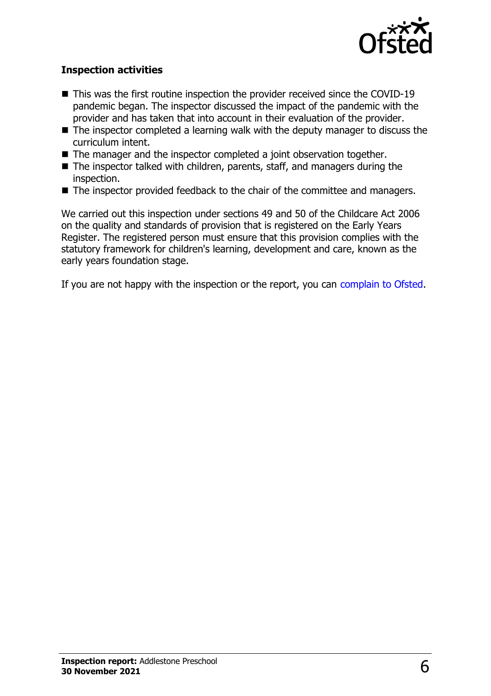

#### **Inspection activities**

- $\blacksquare$  This was the first routine inspection the provider received since the COVID-19 pandemic began. The inspector discussed the impact of the pandemic with the provider and has taken that into account in their evaluation of the provider.
- $\blacksquare$  The inspector completed a learning walk with the deputy manager to discuss the curriculum intent.
- $\blacksquare$  The manager and the inspector completed a joint observation together.
- $\blacksquare$  The inspector talked with children, parents, staff, and managers during the inspection.
- $\blacksquare$  The inspector provided feedback to the chair of the committee and managers.

We carried out this inspection under sections 49 and 50 of the Childcare Act 2006 on the quality and standards of provision that is registered on the Early Years Register. The registered person must ensure that this provision complies with the statutory framework for children's learning, development and care, known as the early years foundation stage.

If you are not happy with the inspection or the report, you can [complain to Ofsted](http://www.gov.uk/complain-ofsted-report).